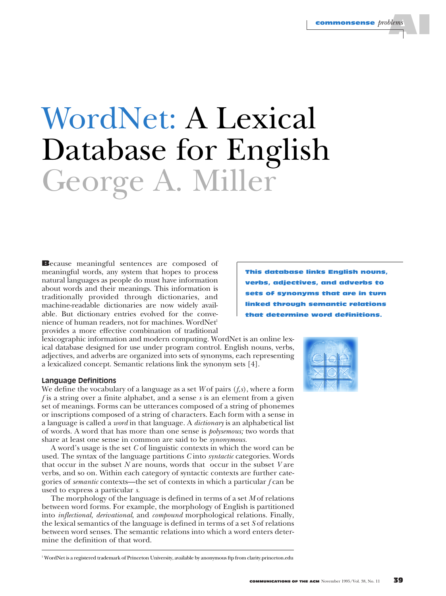# WordNet: A Lexical Database for English George A. Miller

Because meaningful sentences are composed of meaningful words, any system that hopes to process natural languages as people do must have information about words and their meanings. This information is traditionally provided through dictionaries, and machine-readable dictionaries are now widely available. But dictionary entries evolved for the convenience of human readers, not for machines. WordNet<sup>1</sup> provides a more effective combination of traditional

lexicographic information and modern computing. WordNet is an online lexical database designed for use under program control. English nouns, verbs, adjectives, and adverbs are organized into sets of synonyms, each representing a lexicalized concept. Semantic relations link the synonym sets [4].

# **Language Definitions**

We define the vocabulary of a language as a set *W* of pairs (*f,s*), where a form *f* is a string over a finite alphabet, and a sense *s* is an element from a given set of meanings. Forms can be utterances composed of a string of phonemes or inscriptions composed of a string of characters. Each form with a sense in a language is called a *word* in that language. A *dictionary* is an alphabetical list of words. A word that has more than one sense is *polysemous;* two words that share at least one sense in common are said to be *synonymous.*

A word's usage is the set *C* of linguistic contexts in which the word can be used. The syntax of the language partitions *C* into *syntactic* categories. Words that occur in the subset *N* are nouns, words that occur in the subset *V* are verbs, and so on. Within each category of syntactic contexts are further categories of *semantic* contexts—the set of contexts in which a particular *f* can be used to express a particular *s*.

The morphology of the language is defined in terms of a set *M* of relations between word forms. For example, the morphology of English is partitioned into *inflectional, derivational*, and *compound* morphological relations. Finally, the lexical semantics of the language is defined in terms of a set *S* of relations between word senses. The semantic relations into which a word enters determine the definition of that word.

This database links English nouns, verbs, adjectives, and adverbs to onyms that are through semantic relations that determine word definitions.



<sup>1</sup> WordNet is a registered trademark of Princeton University, available by anonymous ftp from clarity.princeton.edu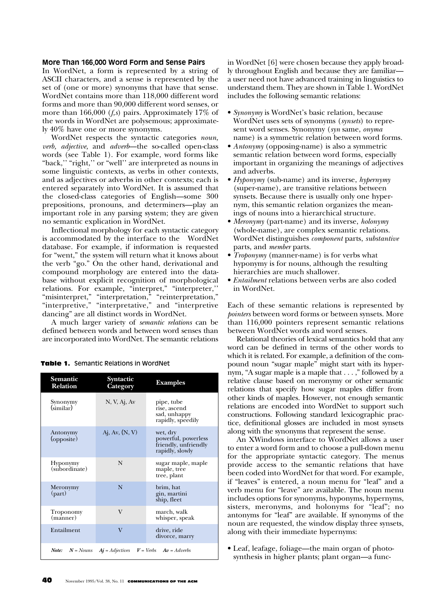## **More Than 166,000 Word Form and Sense Pairs**

In WordNet, a form is represented by a string of ASCII characters, and a sense is represented by the set of (one or more) synonyms that have that sense. WordNet contains more than 118,000 different word forms and more than 90,000 different word senses, or more than 166,000 (*f,s*) pairs. Approximately 17% of the words in WordNet are polysemous; approximately 40% have one or more synonyms.

WordNet respects the syntactic categories *noun, verb, adjective,* and *adverb*—the so-called open-class words (see Table 1). For example, word forms like "back,'' "right,'' or "well'' are interpreted as nouns in some linguistic contexts, as verbs in other contexts, and as adjectives or adverbs in other contexts; each is entered separately into WordNet. It is assumed that the closed-class categories of English—some 300 prepositions, pronouns, and determiners—play an important role in any parsing system; they are given no semantic explication in WordNet.

Inflectional morphology for each syntactic category is accommodated by the interface to the WordNet database. For example, if information is requested for "went," the system will return what it knows about the verb "go." On the other hand, derivational and compound morphology are entered into the database without explicit recognition of morphological relations. For example, "interpret," "interpreter,'' "misinterpret," "interpretation," "reinterpretation," "interpretive," "interpretative," and "interpretive dancing" are all distinct words in WordNet.

A much larger variety of *semantic relations* can be defined between words and between word senses than are incorporated into WordNet. The semantic relations

| Semantic<br><b>Relation</b>                                       | Syntactic<br>Category     | <b>Examples</b>                                                            |
|-------------------------------------------------------------------|---------------------------|----------------------------------------------------------------------------|
| Synonymy<br>(similar)                                             | N, V, A <sub>i</sub> , Av | pipe, tube<br>rise, ascend<br>sad, unhappy<br>rapidly, speedily            |
| Antonymy<br>(opposite)                                            | $Aj$ , Av, $(N, V)$       | wet, dry<br>powerful, powerless<br>friendly, unfriendly<br>rapidly, slowly |
| Hyponymy<br>(subordinate)                                         | N                         | sugar maple, maple<br>maple, tree<br>tree, plant                           |
| Meronymy<br>(part)                                                | N                         | brim, hat<br>gin, martini<br>ship, fleet                                   |
| Troponomy<br>(manner)                                             | V                         | march, walk<br>whisper, speak                                              |
| Entailment                                                        | V                         | drive, ride<br>divorce, marry                                              |
| $N = Nouns$ $Aj = Adjectives$ $V = Verbs$ $Av = Adverbs$<br>Note: |                           |                                                                            |

#### Table 1. Semantic Relations in WordNet

in WordNet [6] were chosen because they apply broadly throughout English and because they are familiar a user need not have advanced training in linguistics to understand them. They are shown in Table 1. WordNet includes the following semantic relations:

- *Synonymy* is WordNet's basic relation, because WordNet uses sets of synonyms (*synsets*) to represent word senses. Synonymy (*syn* same, *onyma* name) is a symmetric relation between word forms.
- *Antonymy* (opposing-name) is also a symmetric semantic relation between word forms, especially important in organizing the meanings of adjectives and adverbs.
- *Hyponymy* (sub-name) and its inverse, *hypernymy* (super-name), are transitive relations between synsets. Because there is usually only one hypernym, this semantic relation organizes the meanings of nouns into a hierarchical structure.
- *Meronymy* (part-name) and its inverse, *holonymy* (whole-name), are complex semantic relations. WordNet distinguishes *component* parts, *substantive* parts, and *member* parts.
- *Troponymy* (manner-name) is for verbs what hyponymy is for nouns, although the resulting hierarchies are much shallower.
- *Entailment* relations between verbs are also coded in WordNet.

Each of these semantic relations is represented by *pointers* between word forms or between synsets. More than 116,000 pointers represent semantic relations between WordNet words and word senses.

Relational theories of lexical semantics hold that any word can be defined in terms of the other words to which it is related. For example, a definition of the compound noun "sugar maple" might start with its hypernym, "A sugar maple is a maple that . . . ," followed by a relative clause based on meronymy or other semantic relations that specify how sugar maples differ from other kinds of maples. However, not enough semantic relations are encoded into WordNet to support such constructions. Following standard lexicographic practice, definitional glosses are included in most synsets along with the synonyms that represent the sense.

An XWindows interface to WordNet allows a user to enter a word form and to choose a pull-down menu for the appropriate syntactic category. The menus provide access to the semantic relations that have been coded into WordNet for that word. For example, if "leaves" is entered, a noun menu for "leaf" and a verb menu for "leave" are available. The noun menu includes options for synonyms, hyponyms, hypernyms, sisters, meronyms, and holonyms for "leaf"; no antonyms for "leaf" are available. If synonyms of the noun are requested, the window display three synsets, along with their immediate hypernyms:

• Leaf, leafage, foliage—the main organ of photosynthesis in higher plants; plant organ—a func